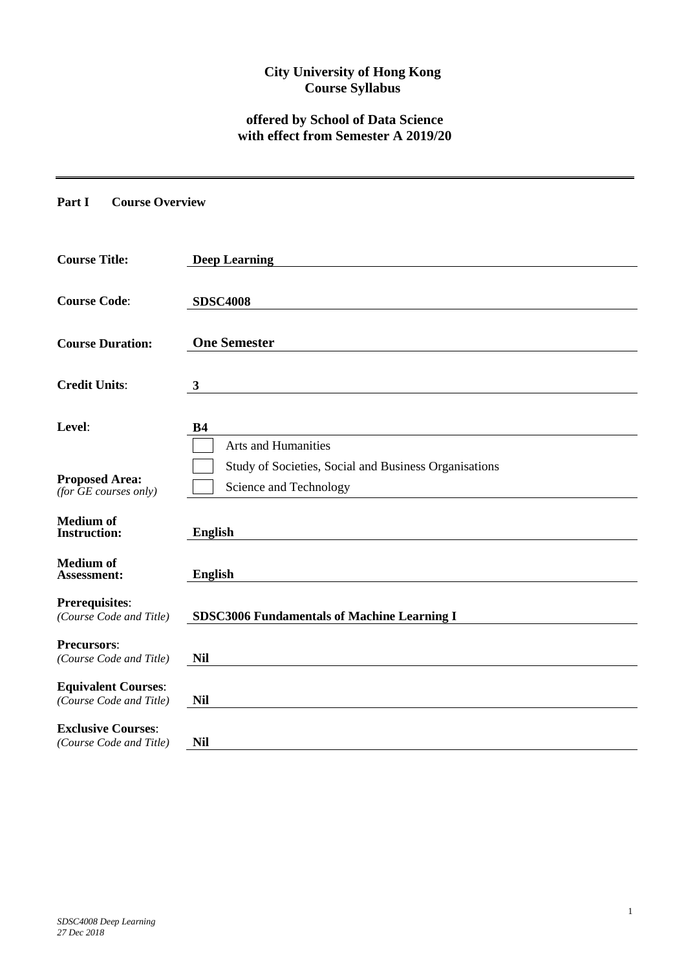## **City University of Hong Kong Course Syllabus**

# **offered by School of Data Science with effect from Semester A 2019/20**

**Part I Course Overview**

| <b>Course Title:</b>                                  | <b>Deep Learning</b>                                                            |
|-------------------------------------------------------|---------------------------------------------------------------------------------|
| <b>Course Code:</b>                                   | <b>SDSC4008</b>                                                                 |
| <b>Course Duration:</b>                               | <b>One Semester</b>                                                             |
| <b>Credit Units:</b>                                  | 3                                                                               |
| Level:                                                | <b>B4</b><br><b>Arts and Humanities</b>                                         |
| <b>Proposed Area:</b><br>$(for$ $GE$ courses only)    | Study of Societies, Social and Business Organisations<br>Science and Technology |
| <b>Medium of</b><br><b>Instruction:</b>               | <b>English</b>                                                                  |
| <b>Medium</b> of<br>Assessment:                       | <b>English</b>                                                                  |
| <b>Prerequisites:</b><br>(Course Code and Title)      | <b>SDSC3006 Fundamentals of Machine Learning I</b>                              |
| <b>Precursors:</b><br>(Course Code and Title)         | <b>Nil</b>                                                                      |
| <b>Equivalent Courses:</b><br>(Course Code and Title) | <b>Nil</b>                                                                      |
| <b>Exclusive Courses:</b><br>(Course Code and Title)  | <b>Nil</b>                                                                      |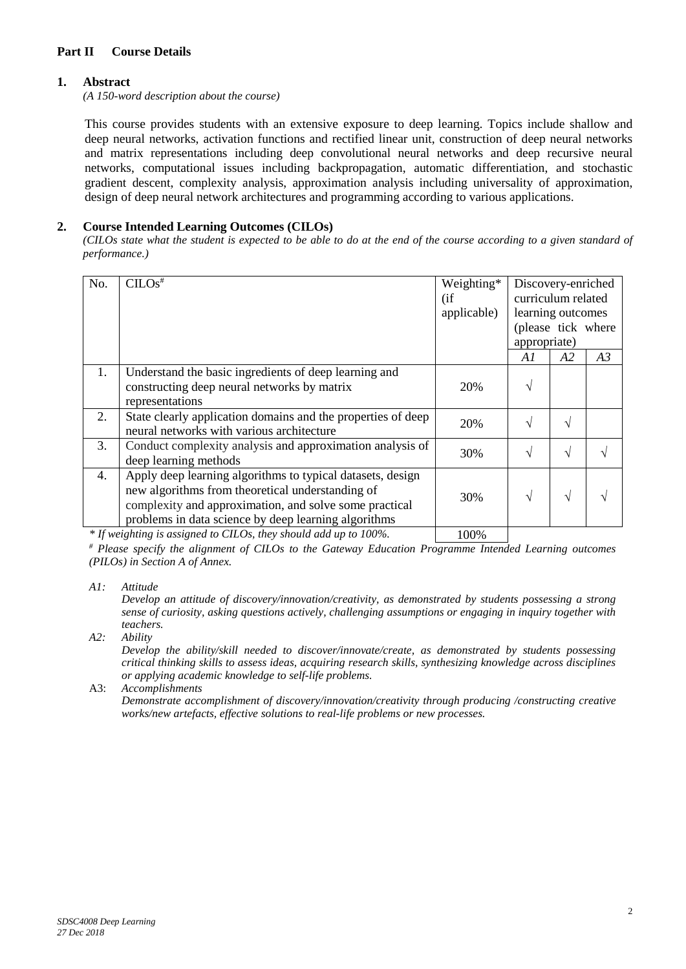### **Part II Course Details**

### **1. Abstract**

*(A 150-word description about the course)*

This course provides students with an extensive exposure to deep learning. Topics include shallow and deep neural networks, activation functions and rectified linear unit, construction of deep neural networks and matrix representations including deep convolutional neural networks and deep recursive neural networks, computational issues including backpropagation, automatic differentiation, and stochastic gradient descent, complexity analysis, approximation analysis including universality of approximation, design of deep neural network architectures and programming according to various applications.

#### **2. Course Intended Learning Outcomes (CILOs)**

*(CILOs state what the student is expected to be able to do at the end of the course according to a given standard of performance.)*

| No. | CILOS <sup>#</sup>                                                                                                                                                                                                               | Weighting*<br>(i f)<br>applicable) | Discovery-enriched<br>curriculum related<br>learning outcomes<br>(please tick where<br>appropriate) |            |    |
|-----|----------------------------------------------------------------------------------------------------------------------------------------------------------------------------------------------------------------------------------|------------------------------------|-----------------------------------------------------------------------------------------------------|------------|----|
|     |                                                                                                                                                                                                                                  |                                    | A1                                                                                                  | A2         | A3 |
| 1.  | Understand the basic ingredients of deep learning and<br>constructing deep neural networks by matrix<br>representations                                                                                                          | 20%                                | N                                                                                                   |            |    |
| 2.  | State clearly application domains and the properties of deep<br>neural networks with various architecture                                                                                                                        | 20%                                | $\mathcal{N}$                                                                                       | V          |    |
| 3.  | Conduct complexity analysis and approximation analysis of<br>deep learning methods                                                                                                                                               | 30%                                | $\mathcal{L}$                                                                                       | V          |    |
| 4.  | Apply deep learning algorithms to typical datasets, design<br>new algorithms from theoretical understanding of<br>complexity and approximation, and solve some practical<br>problems in data science by deep learning algorithms | 30%                                | $\mathcal{N}$                                                                                       | $\sqrt{ }$ |    |

*\** If weighting is assigned to CILOs, they should add up to 100%.

*# Please specify the alignment of CILOs to the Gateway Education Programme Intended Learning outcomes (PILOs) in Section A of Annex.* 

*A1: Attitude* 

*Develop an attitude of discovery/innovation/creativity, as demonstrated by students possessing a strong sense of curiosity, asking questions actively, challenging assumptions or engaging in inquiry together with teachers.*

*A2: Ability*

*Develop the ability/skill needed to discover/innovate/create, as demonstrated by students possessing critical thinking skills to assess ideas, acquiring research skills, synthesizing knowledge across disciplines or applying academic knowledge to self-life problems.*

A3: *Accomplishments*

*Demonstrate accomplishment of discovery/innovation/creativity through producing /constructing creative works/new artefacts, effective solutions to real-life problems or new processes.*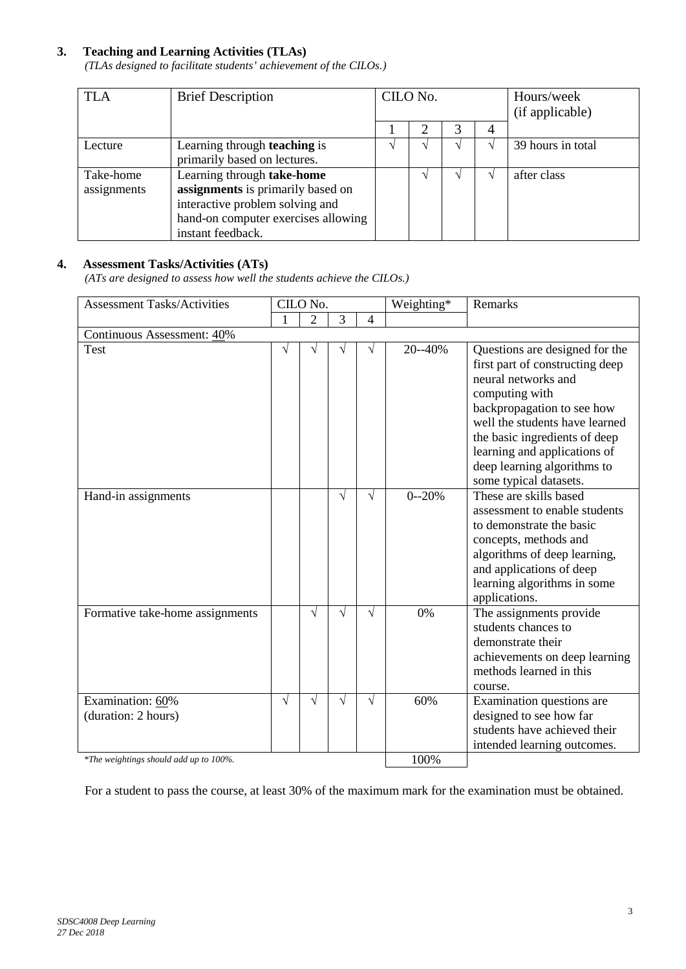### **3. Teaching and Learning Activities (TLAs)**

*(TLAs designed to facilitate students' achievement of the CILOs.)*

| <b>TLA</b>  | <b>Brief Description</b>            | CILO No. |  |  | Hours/week<br>(if applicable) |
|-------------|-------------------------------------|----------|--|--|-------------------------------|
|             |                                     |          |  |  |                               |
| Lecture     | Learning through <b>teaching</b> is |          |  |  | 39 hours in total             |
|             | primarily based on lectures.        |          |  |  |                               |
| Take-home   | Learning through take-home          |          |  |  | after class                   |
| assignments | assignments is primarily based on   |          |  |  |                               |
|             | interactive problem solving and     |          |  |  |                               |
|             | hand-on computer exercises allowing |          |  |  |                               |
|             | instant feedback.                   |          |  |  |                               |

### **4. Assessment Tasks/Activities (ATs)**

*(ATs are designed to assess how well the students achieve the CILOs.)*

| <b>Assessment Tasks/Activities</b>      | CILO No.  |                |           |                | Weighting* | <b>Remarks</b>                                                                                                                                                                                                                                                             |
|-----------------------------------------|-----------|----------------|-----------|----------------|------------|----------------------------------------------------------------------------------------------------------------------------------------------------------------------------------------------------------------------------------------------------------------------------|
|                                         |           | $\overline{2}$ | 3         | $\overline{4}$ |            |                                                                                                                                                                                                                                                                            |
| Continuous Assessment: 40%              |           |                |           |                |            |                                                                                                                                                                                                                                                                            |
| Test                                    |           | V              | V         | V              | 20--40%    | Questions are designed for the<br>first part of constructing deep<br>neural networks and<br>computing with<br>backpropagation to see how<br>well the students have learned<br>the basic ingredients of deep<br>learning and applications of<br>deep learning algorithms to |
|                                         |           |                |           |                |            | some typical datasets.                                                                                                                                                                                                                                                     |
| Hand-in assignments                     |           |                | $\sqrt{}$ | V              | $0 - 20%$  | These are skills based<br>assessment to enable students<br>to demonstrate the basic<br>concepts, methods and<br>algorithms of deep learning,<br>and applications of deep<br>learning algorithms in some<br>applications.                                                   |
| Formative take-home assignments         |           | V              | V         | V              | 0%         | The assignments provide<br>students chances to<br>demonstrate their<br>achievements on deep learning<br>methods learned in this<br>course.                                                                                                                                 |
| Examination: 60%<br>(duration: 2 hours) | $\sqrt{}$ | V              | V         | V              | 60%        | Examination questions are<br>designed to see how far<br>students have achieved their<br>intended learning outcomes.                                                                                                                                                        |
| *The weightings should add up to 100%.  |           |                |           | 100%           |            |                                                                                                                                                                                                                                                                            |

For a student to pass the course, at least 30% of the maximum mark for the examination must be obtained.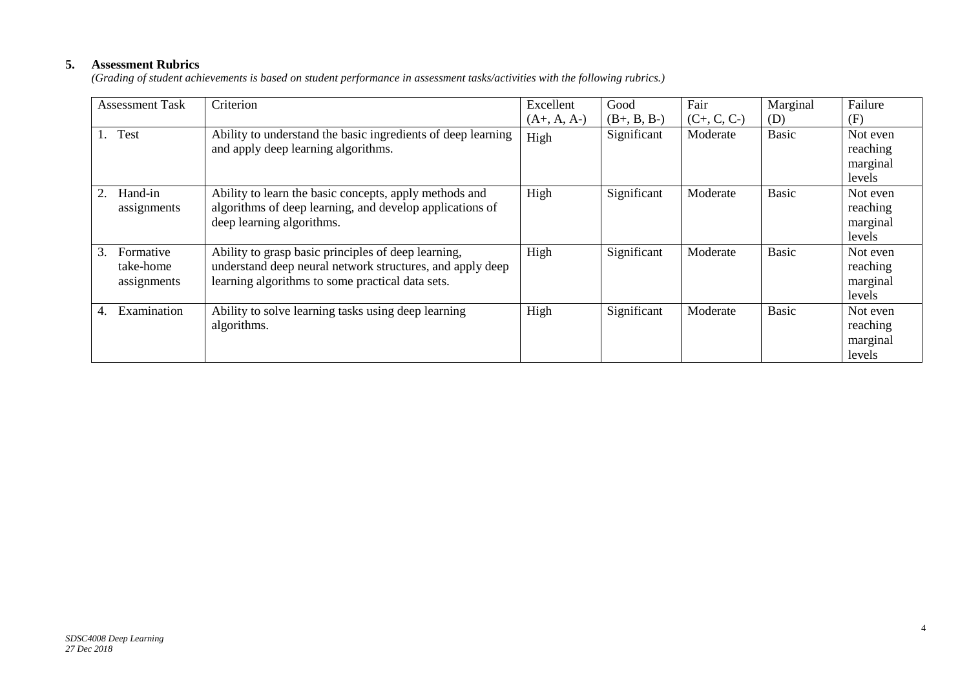## **5. Assessment Rubrics**

*(Grading of student achievements is based on student performance in assessment tasks/activities with the following rubrics.)*

| <b>Assessment Task</b>                      | Criterion                                                                                                                                                            | Excellent     | Good          | Fair          | Marginal     | Failure                                    |
|---------------------------------------------|----------------------------------------------------------------------------------------------------------------------------------------------------------------------|---------------|---------------|---------------|--------------|--------------------------------------------|
|                                             |                                                                                                                                                                      | $(A+, A, A-)$ | $(B+, B, B-)$ | $(C+, C, C-)$ | (D)          | (F)                                        |
| Test                                        | Ability to understand the basic ingredients of deep learning<br>and apply deep learning algorithms.                                                                  | High          | Significant   | Moderate      | <b>Basic</b> | Not even<br>reaching<br>marginal<br>levels |
| Hand-in<br>2.<br>assignments                | Ability to learn the basic concepts, apply methods and<br>algorithms of deep learning, and develop applications of<br>deep learning algorithms.                      | High          | Significant   | Moderate      | Basic        | Not even<br>reaching<br>marginal<br>levels |
| 3.<br>Formative<br>take-home<br>assignments | Ability to grasp basic principles of deep learning,<br>understand deep neural network structures, and apply deep<br>learning algorithms to some practical data sets. | High          | Significant   | Moderate      | <b>Basic</b> | Not even<br>reaching<br>marginal<br>levels |
| Examination<br>4.                           | Ability to solve learning tasks using deep learning<br>algorithms.                                                                                                   | High          | Significant   | Moderate      | <b>Basic</b> | Not even<br>reaching<br>marginal<br>levels |